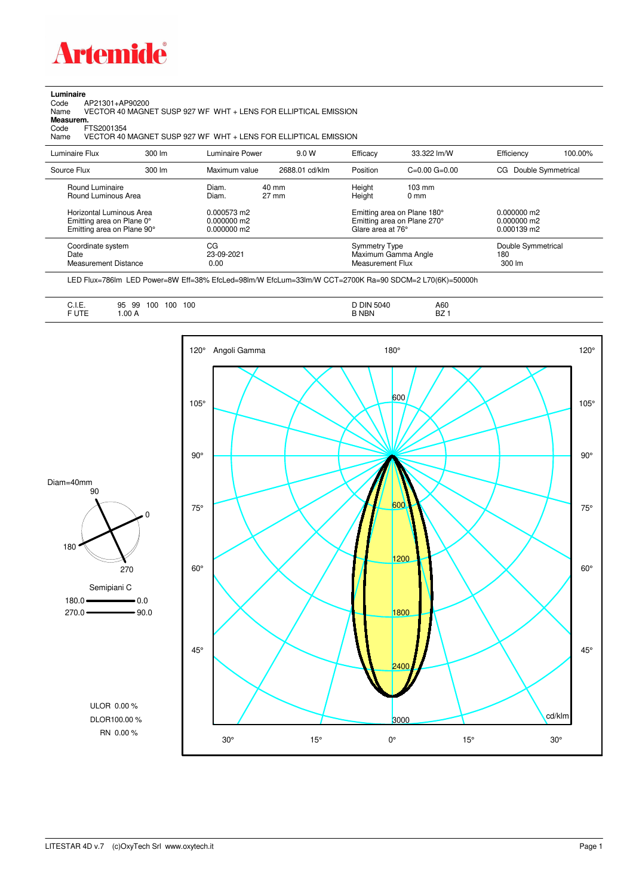

**Luminaire**<br>Code /<br>Name Code AP21301+AP90200 Name VECTOR 40 MAGNET SUSP 927 WF WHT + LENS FOR ELLIPTICAL EMISSION

**Measurem.**

Code FTS2001354<br>Name VECTOR 40 VECTOR 40 MAGNET SUSP 927 WF WHT + LENS FOR ELLIPTICAL EMISSION

| Luminaire Flux                                                                                                                | $300 \, \text{Im}$ | Luminaire Power                                                 | 9.0 W                    | Efficacy                              | 33.322 lm/W                                                                                      | Efficiency                                             | 100.00% |
|-------------------------------------------------------------------------------------------------------------------------------|--------------------|-----------------------------------------------------------------|--------------------------|---------------------------------------|--------------------------------------------------------------------------------------------------|--------------------------------------------------------|---------|
| Source Flux                                                                                                                   | 300 lm             | Maximum value                                                   | 2688.01 cd/klm           | Position                              | $C=0.00$ $G=0.00$                                                                                | CG Double Symmetrical                                  |         |
| Round Luminaire<br>Round Luminous Area<br>Horizontal Luminous Area<br>Emitting area on Plane 0°<br>Emitting area on Plane 90° |                    | Diam.<br>Diam.<br>0.000573 m2<br>$0.000000$ m2<br>$0.000000$ m2 | 40 mm<br>$27 \text{ mm}$ | Height<br>Height<br>Glare area at 76° | $103 \text{ mm}$<br>$0 \text{ mm}$<br>Emitting area on Plane 180°<br>Emitting area on Plane 270° | $0.000000$ m2<br>$0.000000$ m2<br>$0.000139 \text{ m}$ |         |
| Coordinate system<br>Date<br>Measurement Distance                                                                             |                    | CG<br>23-09-2021<br>0.00                                        |                          | Symmetry Type<br>Measurement Flux     | Maximum Gamma Angle                                                                              | Double Symmetrical<br>180<br>$300 \, \text{Im}$        |         |

LED Flux=786lm LED Power=8W Eff=38% EfcLed=98lm/W EfcLum=33lm/W CCT=2700K Ra=90 SDCM=2 L70(6K)=50000h

| <b>FUTE</b><br><b>B NBN</b><br>l .00 A<br>$\sim$ $\sim$ $\sim$ | A60<br>D7.<br>DZ. |  |  |
|----------------------------------------------------------------|-------------------|--|--|
|----------------------------------------------------------------|-------------------|--|--|